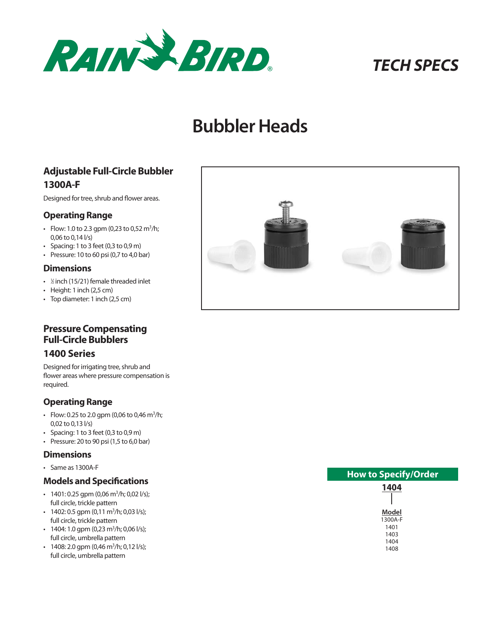

# *TECH SPECS*

# **Bubbler Heads**

## **Adjustable Full-Circle Bubbler 1300A-F**

Designed for tree, shrub and flower areas.

### **Operating Range**

- Flow: 1.0 to 2.3 gpm (0,23 to 0,52 m<sup>3</sup>/h; 0,06 to 0,14 l/s)
- Spacing: 1 to 3 feet  $(0, 3 \text{ to } 0, 9 \text{ m})$
- Pressure: 10 to 60 psi (0,7 to 4,0 bar)

#### **Dimensions**

- <sup>1</sup> ⁄2 inch (15/21) female threaded inlet
- Height: 1 inch (2,5 cm)
- Top diameter: 1 inch (2,5 cm)

## **Pressure Compensating Full-Circle Bubblers**

## **1400 Series**

Designed for irrigating tree, shrub and flower areas where pressure compensation is required.

## **Operating Range**

- Flow: 0.25 to 2.0 gpm (0,06 to 0,46 m<sup>3</sup>/h; 0,02 to 0,13 l/s)
- Spacing: 1 to 3 feet (0,3 to 0,9 m)
- Pressure: 20 to 90 psi  $(1,5$  to 6,0 bar)

#### **Dimensions**

• Same as 1300A-F

### **Models and Specifications**

- $\cdot$  1401: 0.25 gpm (0,06 m<sup>3</sup>/h; 0,02 l/s); full circle, trickle pattern
- $\cdot$  1402: 0.5 gpm (0,11 m<sup>3</sup>/h; 0,03 l/s); full circle, trickle pattern
- $\cdot$  1404: 1.0 gpm (0,23 m<sup>3</sup>/h; 0,06 l/s); full circle, umbrella pattern
- $\cdot$  1408: 2.0 gpm (0,46 m<sup>3</sup>/h; 0,12 l/s); full circle, umbrella pattern



| <b>How to Specify/Order</b> |
|-----------------------------|
| 1404                        |
|                             |
| Model                       |
| 1300A-F                     |
| 1401                        |
| 1403                        |
| 1404                        |
| 1408                        |
|                             |
|                             |